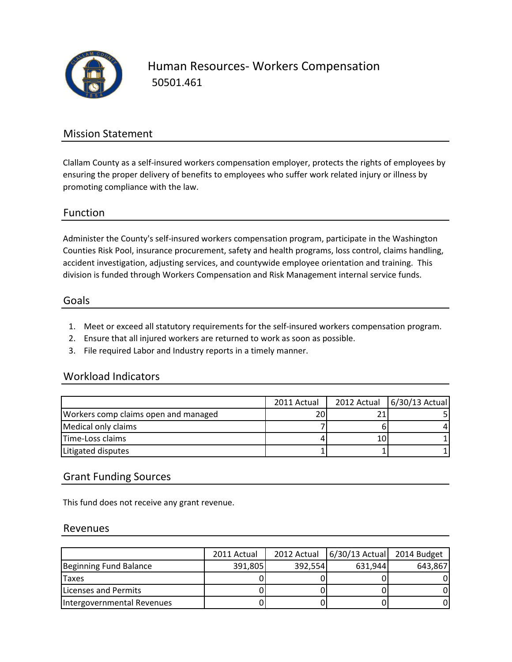

Human Resources- Workers Compensation 50501.461

# Mission Statement

Clallam County as a self-insured workers compensation employer, protects the rights of employees by ensuring the proper delivery of benefits to employees who suffer work related injury or illness by promoting compliance with the law.

## Function

Administer the County's self-insured workers compensation program, participate in the Washington Counties Risk Pool, insurance procurement, safety and health programs, loss control, claims handling, accident investigation, adjusting services, and countywide employee orientation and training. This division is funded through Workers Compensation and Risk Management internal service funds.

#### Goals

- 1. Meet or exceed all statutory requirements for the self-insured workers compensation program.
- 2. Ensure that all injured workers are returned to work as soon as possible.
- 3. File required Labor and Industry reports in a timely manner.

#### Workload Indicators

|                                      | 2011 Actual | 2012 Actual   6/30/13 Actual |
|--------------------------------------|-------------|------------------------------|
| Workers comp claims open and managed | 20          |                              |
| Medical only claims                  |             |                              |
| Time-Loss claims                     |             |                              |
| Litigated disputes                   |             |                              |

## Grant Funding Sources

This fund does not receive any grant revenue.

#### Revenues

|                              | 2011 Actual | 2012 Actual | 6/30/13 Actual 2014 Budget |         |
|------------------------------|-------------|-------------|----------------------------|---------|
| Beginning Fund Balance       | 391,805     | 392.554     | 631,944                    | 643.867 |
| <b>Taxes</b>                 |             |             |                            |         |
| <b>ILicenses and Permits</b> |             |             |                            |         |
| Intergovernmental Revenues   |             |             |                            |         |